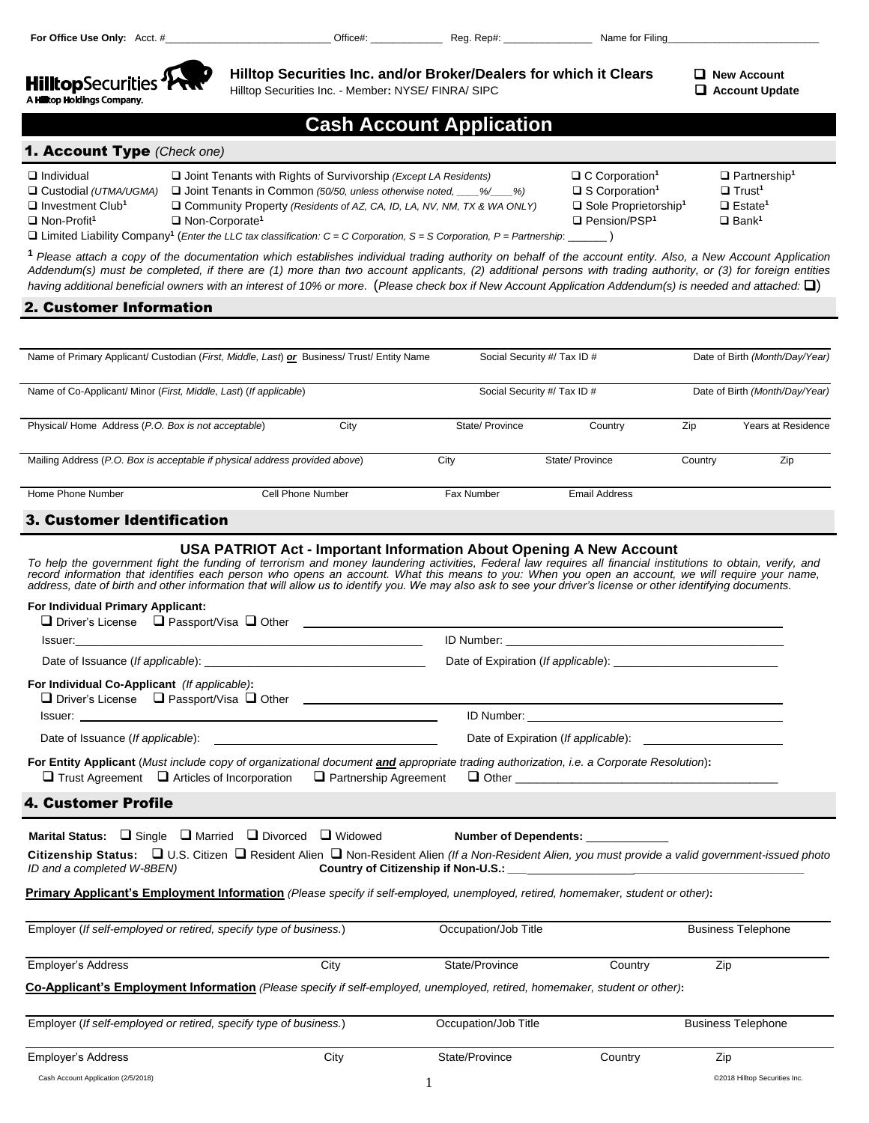

**Hilltop Securities Inc. and/or Broker/Dealers for which it Clears**  $\Box$  **New Account** 

Hilltop Securities Inc. - Member**:** NYSE/ FINRA/ SIPC **Account Update**

| <b>Cash Account Application</b> |  |
|---------------------------------|--|
|---------------------------------|--|

# 1. Account Type *(Check one)*

| $\Box$ Individual                                                                                                                               | $\Box$ Joint Tenants with Rights of Survivorship ( <i>Except LA Residents</i> ) | $\Box$ C Corporation <sup>1</sup>  | $\Box$ Partnership <sup>1</sup> |  |
|-------------------------------------------------------------------------------------------------------------------------------------------------|---------------------------------------------------------------------------------|------------------------------------|---------------------------------|--|
| $\Box$ Custodial (UTMA/UGMA)                                                                                                                    | □ Joint Tenants in Common (50/50, unless otherwise noted, ____%/___%)           | $\Box$ S Corporation <sup>1</sup>  | $\Box$ Trust <sup>1</sup>       |  |
| $\Box$ Investment Club <sup>1</sup>                                                                                                             | $\Box$ Community Property (Residents of AZ, CA, ID, LA, NV, NM, TX & WA ONLY)   | □ Sole Proprietorship <sup>1</sup> | $\Box$ Estate <sup>1</sup>      |  |
| $\Box$ Non-Profit <sup>1</sup>                                                                                                                  | Non-Corporate <sup>1</sup>                                                      | $\Box$ Pension/PSP <sup>1</sup>    | $\Box$ Bank <sup>1</sup>        |  |
| $\Box$ Limited Liability Company <sup>1</sup> ( <i>Enter the LLC tax classification: C = C Corporation, S = S Corporation, P = Partnership:</i> |                                                                                 |                                    |                                 |  |

**<sup>1</sup>** *Please attach a copy of the documentation which establishes individual trading authority on behalf of the account entity. Also, a New Account Application Addendum(s) must be completed, if there are (1) more than two account applicants, (2) additional persons with trading authority, or (3) for foreign entities having* additional beneficial owners with an interest of 10% or more. (Please check box if New Account Application Addendum(s) is needed and attached:  $\square$ )

# 2. Customer Information

| Name of Primary Applicant/ Custodian (First, Middle, Last) or Business/ Trust/ Entity Name |                   |      |                 | Social Security #/ Tax ID # |         | Date of Birth (Month/Day/Year) |  |  |
|--------------------------------------------------------------------------------------------|-------------------|------|-----------------|-----------------------------|---------|--------------------------------|--|--|
| Name of Co-Applicant/ Minor (First, Middle, Last) (If applicable)                          |                   |      |                 | Social Security #/ Tax ID # |         | Date of Birth (Month/Day/Year) |  |  |
| Physical/Home Address (P.O. Box is not acceptable)                                         |                   | City | State/ Province | Country                     | Zip     | Years at Residence             |  |  |
| Mailing Address (P.O. Box is acceptable if physical address provided above)                |                   |      | City            | State/ Province             | Country | Zip                            |  |  |
| Home Phone Number                                                                          | Cell Phone Number |      | Fax Number      | <b>Email Address</b>        |         |                                |  |  |
| 3. Customer Identification                                                                 |                   |      |                 |                             |         |                                |  |  |

# 3. Customer Identification

## **USA PATRIOT Act - Important Information About Opening A New Account**

*To help the government fight the funding of terrorism and money laundering activities, Federal law requires all financial institutions to obtain, verify, and*  record information that identifies each person who opens an account. What this means to you: When you open an account, we will require your name,<br>address, date of birth and other information that will allow us to identify

# **For Individual Primary Applicant:**

| $\Box$ Driver's License $\Box$ Passport/Visa $\Box$ Other                                                                               | <u> 1980 - Antonio Alemania, presidente de la contrada de la contrada de la contrada de la contrada de la contrad</u> |
|-----------------------------------------------------------------------------------------------------------------------------------------|-----------------------------------------------------------------------------------------------------------------------|
|                                                                                                                                         |                                                                                                                       |
|                                                                                                                                         |                                                                                                                       |
| For Individual Co-Applicant (If applicable):                                                                                            |                                                                                                                       |
|                                                                                                                                         |                                                                                                                       |
|                                                                                                                                         |                                                                                                                       |
| For Entity Applicant (Must include copy of organizational document and appropriate trading authorization, i.e. a Corporate Resolution): |                                                                                                                       |
| 4. Customer Profile                                                                                                                     |                                                                                                                       |

**Marital Status:** □ Single □ Married □ Divorced □ Widowed **Number of Dependents:** 

|                            |                                     | Citizenship Status: □ U.S. Citizen □ Resident Alien □ Non-Resident Alien (If a Non-Resident Alien, you must provide a valid government-issued photo |
|----------------------------|-------------------------------------|-----------------------------------------------------------------------------------------------------------------------------------------------------|
| ID and a completed W-8BEN) | Country of Citizenship if Non-U.S.: |                                                                                                                                                     |

## **Primary Applicant's Employment Information** *(Please specify if self-employed, unemployed, retired, homemaker, student or other)***:**

| Employer (If self-employed or retired, specify type of business.)                                                          |      | Occupation/Job Title | <b>Business Telephone</b> |                           |
|----------------------------------------------------------------------------------------------------------------------------|------|----------------------|---------------------------|---------------------------|
| Employer's Address                                                                                                         | City | State/Province       | Country                   | Zip                       |
| Co-Applicant's Employment Information (Please specify if self-employed, unemployed, retired, homemaker, student or other): |      |                      |                           |                           |
|                                                                                                                            |      |                      |                           |                           |
| Employer (If self-employed or retired, specify type of business.)                                                          |      | Occupation/Job Title |                           | <b>Business Telephone</b> |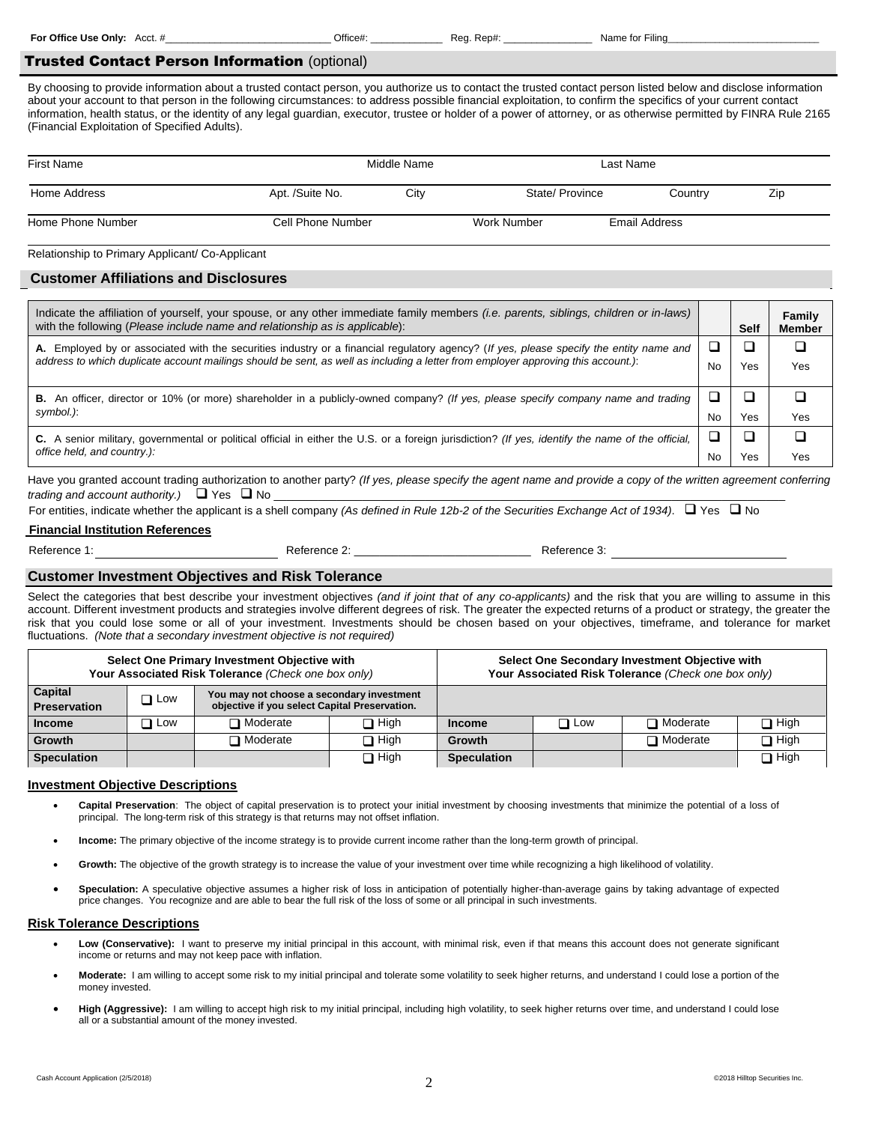**For Office Use Only:** Acct. # **We are all accepts and Accept Accepts** Office#: **Name for Filing** and  $\overline{C}$ 

## Trusted Contact Person Information (optional)

By choosing to provide information about a trusted contact person, you authorize us to contact the trusted contact person listed below and disclose information about your account to that person in the following circumstances: to address possible financial exploitation, to confirm the specifics of your current contact information, health status, or the identity of any legal guardian, executor, trustee or holder of a power of attorney, or as otherwise permitted by FINRA Rule 2165 (Financial Exploitation of Specified Adults).

| <b>First Name</b> | Middle Name       |      | Last Name      |  |               |     |
|-------------------|-------------------|------|----------------|--|---------------|-----|
| Home Address      | Apt. /Suite No.   | City | State/Province |  | Country       | Zip |
| Home Phone Number | Cell Phone Number |      | Work Number    |  | Email Address |     |

Relationship to Primary Applicant/ Co-Applicant

## **Customer Affiliations and Disclosures**

| Indicate the affiliation of yourself, your spouse, or any other immediate family members <i>(i.e. parents, siblings, children or in-laws)</i><br>with the following (Please include name and relationship as is applicable):                                                 |    | Self | Family<br><b>Member</b> |
|------------------------------------------------------------------------------------------------------------------------------------------------------------------------------------------------------------------------------------------------------------------------------|----|------|-------------------------|
| A. Employed by or associated with the securities industry or a financial regulatory agency? (If yes, please specify the entity name and<br>address to which duplicate account mailings should be sent, as well as including a letter from employer approving this account.): | No | Yes  | Yes                     |
| B. An officer, director or 10% (or more) shareholder in a publicly-owned company? (If yes, please specify company name and trading<br>symbol.):                                                                                                                              | No | Yes  | Yes                     |
| C. A senior military, governmental or political official in either the U.S. or a foreign jurisdiction? (If yes, identify the name of the official,<br>office held, and country.):                                                                                            | No | 'es  | Yes                     |

Have you granted account trading authorization to another party? *(If yes, please specify the agent name and provide a copy of the written agreement conferring trading and account authority.)*  $\Box$  Yes  $\Box$  No

For entities, indicate whether the applicant is a shell company *(As defined in Rule 12b-2 of the Securities Exchange Act of 1934)*.  $\Box$  Yes  $\Box$  No

## **Financial Institution References**

Reference 1: external reference 2: external reference 2: external reference 3:

## **Customer Investment Objectives and Risk Tolerance**

Select the categories that best describe your investment objectives *(and if joint that of any co-applicants)* and the risk that you are willing to assume in this account. Different investment products and strategies involve different degrees of risk. The greater the expected returns of a product or strategy, the greater the risk that you could lose some or all of your investment. Investments should be chosen based on your objectives, timeframe, and tolerance for market fluctuations. *(Note that a secondary investment objective is not required)*

| Select One Primary Investment Objective with<br>Your Associated Risk Tolerance (Check one box only) |            |                                                                                            |             |                    | Select One Secondary Investment Objective with<br>Your Associated Risk Tolerance (Check one box only) |                 |             |
|-----------------------------------------------------------------------------------------------------|------------|--------------------------------------------------------------------------------------------|-------------|--------------------|-------------------------------------------------------------------------------------------------------|-----------------|-------------|
| Capital<br><b>Preservation</b>                                                                      | $\Box$ Low | You may not choose a secondary investment<br>objective if you select Capital Preservation. |             |                    |                                                                                                       |                 |             |
| <b>Income</b>                                                                                       | $\Box$ Low | $\Box$ Moderate                                                                            | $\Box$ High | <b>Income</b>      | $\Box$ Low                                                                                            | $\Box$ Moderate | $\Box$ High |
| Growth                                                                                              |            | $\Box$ Moderate                                                                            | $\Box$ High | <b>Growth</b>      |                                                                                                       | $\Box$ Moderate | $\Box$ High |
| <b>Speculation</b>                                                                                  |            |                                                                                            | $\Box$ High | <b>Speculation</b> |                                                                                                       |                 | $\Box$ High |

#### **Investment Objective Descriptions**

- **Capital Preservation**: The object of capital preservation is to protect your initial investment by choosing investments that minimize the potential of a loss of principal. The long-term risk of this strategy is that returns may not offset inflation.
- **Income:** The primary objective of the income strategy is to provide current income rather than the long-term growth of principal.
- **Growth:** The objective of the growth strategy is to increase the value of your investment over time while recognizing a high likelihood of volatility.
- **Speculation:** A speculative objective assumes a higher risk of loss in anticipation of potentially higher-than-average gains by taking advantage of expected price changes. You recognize and are able to bear the full risk of the loss of some or all principal in such investments.

#### **Risk Tolerance Descriptions**

- Low (Conservative): I want to preserve my initial principal in this account, with minimal risk, even if that means this account does not generate significant income or returns and may not keep pace with inflation.
- **Moderate:** I am willing to accept some risk to my initial principal and tolerate some volatility to seek higher returns, and understand I could lose a portion of the money invested.
- **High (Aggressive):** I am willing to accept high risk to my initial principal, including high volatility, to seek higher returns over time, and understand I could lose all or a substantial amount of the money invested.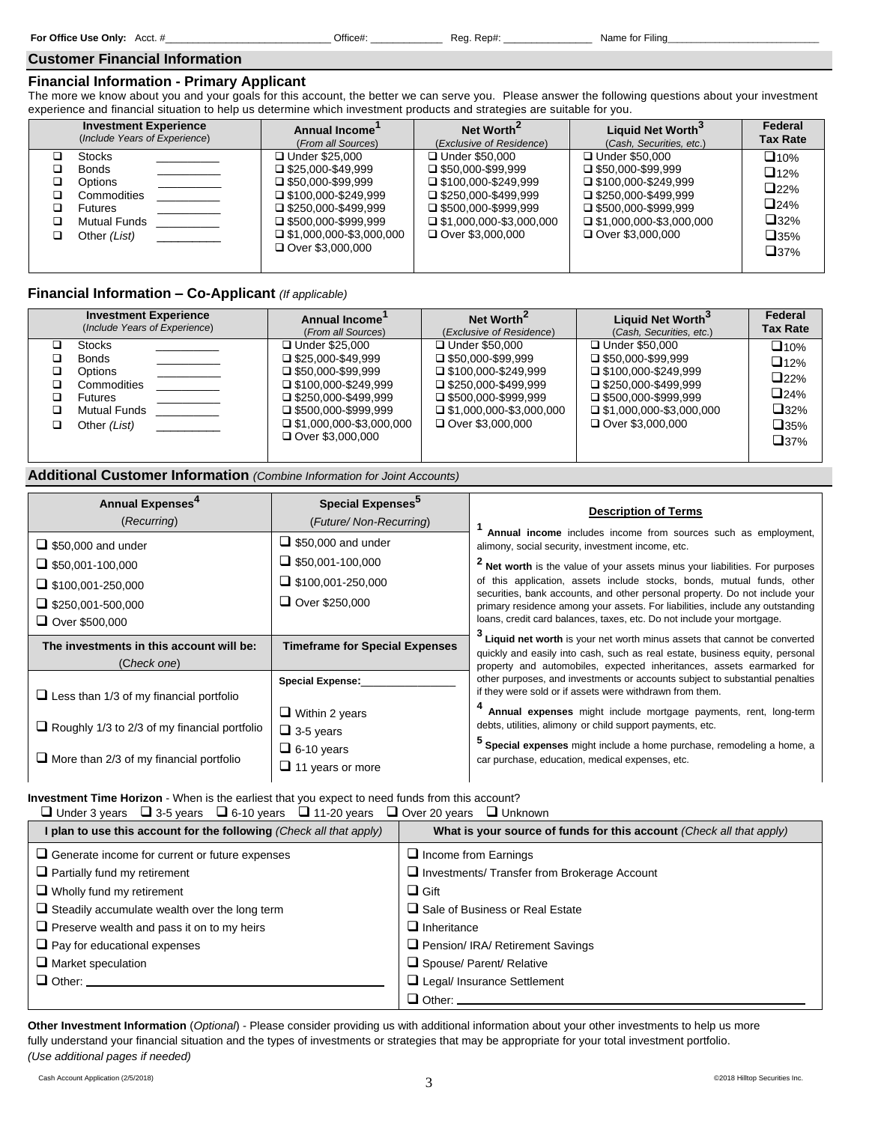#### **Customer Financial Information**

# **Financial Information - Primary Applicant**

The more we know about you and your goals for this account, the better we can serve you. Please answer the following questions about your investment experience and financial situation to help us determine which investment products and strategies are suitable for you.

| <b>Investment Experience</b>                                                                                            | <b>Annual Income</b>                                                                                                                                                                                                                              | Net Worth <sup>2</sup>                                                                                                                                                                                 | Liquid Net Worth <sup>3</sup>                                                                                                                                                                  | Federal         |
|-------------------------------------------------------------------------------------------------------------------------|---------------------------------------------------------------------------------------------------------------------------------------------------------------------------------------------------------------------------------------------------|--------------------------------------------------------------------------------------------------------------------------------------------------------------------------------------------------------|------------------------------------------------------------------------------------------------------------------------------------------------------------------------------------------------|-----------------|
| (Include Years of Experience)                                                                                           | (From all Sources)                                                                                                                                                                                                                                | (Exclusive of Residence)                                                                                                                                                                               | (Cash, Securities, etc.)                                                                                                                                                                       | <b>Tax Rate</b> |
| <b>Stocks</b><br><b>Bonds</b><br><b>Options</b><br>Commodities<br><b>Futures</b><br><b>Mutual Funds</b><br>Other (List) | <b>□ Under \$25,000</b><br>$\square$ \$25,000-\$49,999<br>$\Box$ \$50.000-\$99.999<br>$\Box$ \$100.000-\$249.999<br>$\square$ \$250.000-\$499.999<br>$\square$ \$500,000-\$999,999<br>$\Box$ \$1,000,000-\$3,000,000<br><b>□ Over \$3,000,000</b> | □ Under \$50,000<br>$\Box$ \$50.000-\$99.999<br>$\Box$ \$100.000-\$249.999<br>$\Box$ \$250.000-\$499.999<br>$\square$ \$500,000-\$999,999<br>$\Box$ \$1,000,000-\$3,000,000<br>$\Box$ Over \$3,000,000 | □ Under \$50,000<br>$\Box$ \$50,000-\$99,999<br>$\Box$ \$100.000-\$249.999<br>$\Box$ \$250,000-\$499,999<br>$\Box$ \$500,000-\$999,999<br>$\Box$ \$1,000,000-\$3,000,000<br>□ Over \$3,000,000 |                 |

## **Financial Information – Co-Applicant** *(If applicable)*

| <b>Investment Experience</b>                                                                              | Annual Income                                                                                                                                                                                                                 | Net Worth <sup>2</sup>                                                                                                                                                                                     | <b>Liquid Net Worth</b>                                                                                                                                                                        | Federal         |
|-----------------------------------------------------------------------------------------------------------|-------------------------------------------------------------------------------------------------------------------------------------------------------------------------------------------------------------------------------|------------------------------------------------------------------------------------------------------------------------------------------------------------------------------------------------------------|------------------------------------------------------------------------------------------------------------------------------------------------------------------------------------------------|-----------------|
| (Include Years of Experience)                                                                             | (From all Sources)                                                                                                                                                                                                            | (Exclusive of Residence)                                                                                                                                                                                   | (Cash, Securities, etc.)                                                                                                                                                                       | <b>Tax Rate</b> |
| Stocks<br><b>Bonds</b><br><b>Options</b><br>Commodities<br><b>Futures</b><br>Mutual Funds<br>Other (List) | □ Under \$25,000<br>$\Box$ \$25.000-\$49.999<br>$\Box$ \$50.000-\$99.999<br>$\Box$ \$100.000-\$249.999<br>$\square$ \$250,000-\$499,999<br>$\Box$ \$500.000-\$999.999<br>$\Box$ \$1,000,000-\$3,000,000<br>□ Over \$3.000.000 | <b>□ Under \$50,000</b><br>$\Box$ \$50.000-\$99.999<br>$\Box$ \$100.000-\$249.999<br>$\Box$ \$250.000-\$499.999<br>$\Box$ \$500.000-\$999.999<br>$\Box$ \$1,000,000-\$3,000,000<br>$\Box$ Over \$3,000,000 | □ Under \$50,000<br>$\Box$ \$50.000-\$99.999<br>$\Box$ \$100.000-\$249.999<br>$\Box$ \$250.000-\$499.999<br>$\Box$ \$500.000-\$999.999<br>$\Box$ \$1,000,000-\$3,000,000<br>□ Over \$3,000,000 |                 |

# **Additional Customer Information** *(Combine Information for Joint Accounts)*

| Annual Expenses <sup>4</sup><br>(Recurring)                                                                                           | Special Expenses <sup>5</sup><br>(Future/ Non-Recurring)                                                  | <b>Description of Terms</b>                                                                                                                                                                                                                                                                                                                                                                                                                                                                                           |
|---------------------------------------------------------------------------------------------------------------------------------------|-----------------------------------------------------------------------------------------------------------|-----------------------------------------------------------------------------------------------------------------------------------------------------------------------------------------------------------------------------------------------------------------------------------------------------------------------------------------------------------------------------------------------------------------------------------------------------------------------------------------------------------------------|
| $\Box$ \$50,000 and under<br>$\Box$ \$50,001-100,000<br>$\Box$ \$100,001-250,000<br>$\Box$ \$250,001-500,000<br>$\Box$ Over \$500,000 | $\Box$ \$50,000 and under<br>$\Box$ \$50,001-100,000<br>$\Box$ \$100,001-250,000<br>$\Box$ Over \$250,000 | Annual income includes income from sources such as employment,<br>alimony, social security, investment income, etc.<br>Net worth is the value of your assets minus your liabilities. For purposes<br>of this application, assets include stocks, bonds, mutual funds, other<br>securities, bank accounts, and other personal property. Do not include your<br>primary residence among your assets. For liabilities, include any outstanding<br>loans, credit card balances, taxes, etc. Do not include your mortgage. |
| The investments in this account will be:<br>(Check one)                                                                               | <b>Timeframe for Special Expenses</b>                                                                     | <sup>3</sup> Liquid net worth is your net worth minus assets that cannot be converted<br>quickly and easily into cash, such as real estate, business equity, personal<br>property and automobiles, expected inheritances, assets earmarked for                                                                                                                                                                                                                                                                        |
| $\Box$ Less than 1/3 of my financial portfolio                                                                                        | <b>Special Expense:</b>                                                                                   | other purposes, and investments or accounts subject to substantial penalties<br>if they were sold or if assets were withdrawn from them.                                                                                                                                                                                                                                                                                                                                                                              |
| $\Box$ Roughly 1/3 to 2/3 of my financial portfolio<br>$\Box$ More than 2/3 of my financial portfolio                                 | $\Box$ Within 2 years<br>$\Box$ 3-5 years<br>$\Box$ 6-10 years<br>$\Box$ 11 years or more                 | Annual expenses might include mortgage payments, rent, long-term<br>debts, utilities, alimony or child support payments, etc.<br>Special expenses might include a home purchase, remodeling a home, a<br>car purchase, education, medical expenses, etc.                                                                                                                                                                                                                                                              |

**Investment Time Horizon** - When is the earliest that you expect to need funds from this account?

| $\Box$ Under 3 years $\Box$ 3-5 years $\Box$ 6-10 years $\Box$ 11-20 years $\Box$ Over 20 years $\Box$ Unknown |                                                                      |  |  |
|----------------------------------------------------------------------------------------------------------------|----------------------------------------------------------------------|--|--|
| I plan to use this account for the following (Check all that apply)                                            | What is your source of funds for this account (Check all that apply) |  |  |
| $\Box$ Generate income for current or future expenses                                                          | $\Box$ Income from Earnings                                          |  |  |
| $\Box$ Partially fund my retirement                                                                            | $\Box$ Investments/ Transfer from Brokerage Account                  |  |  |
| $\Box$ Wholly fund my retirement                                                                               | $\Box$ Gift                                                          |  |  |
| $\Box$ Steadily accumulate wealth over the long term                                                           | $\Box$ Sale of Business or Real Estate                               |  |  |
| $\Box$ Preserve wealth and pass it on to my heirs                                                              | $\Box$ Inheritance                                                   |  |  |
| $\Box$ Pay for educational expenses                                                                            | Pension/ IRA/ Retirement Savings                                     |  |  |
| $\Box$ Market speculation                                                                                      | $\Box$ Spouse/ Parent/ Relative                                      |  |  |
| $\Box$ Other:                                                                                                  | Legal/ Insurance Settlement                                          |  |  |
|                                                                                                                | $\Box$ Other:                                                        |  |  |

**Other Investment Information** (*Optional*) - Please consider providing us with additional information about your other investments to help us more fully understand your financial situation and the types of investments or strategies that may be appropriate for your total investment portfolio. *(Use additional pages if needed)*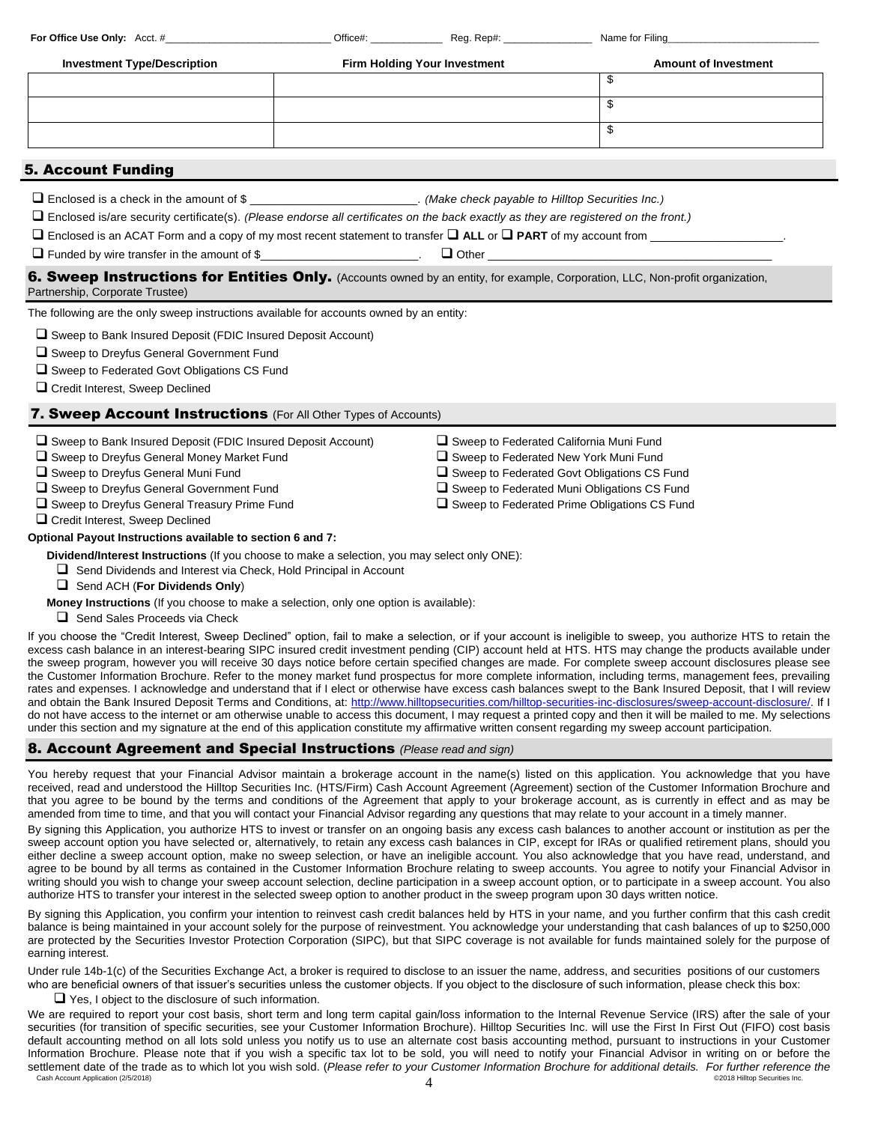| <b>Investment Type/Description</b> | <b>Firm Holding Your Investment</b> | <b>Amount of Investment</b> |
|------------------------------------|-------------------------------------|-----------------------------|
|                                    |                                     |                             |
|                                    |                                     |                             |
|                                    |                                     |                             |
|                                    |                                     |                             |

# 5. Account Funding

Enclosed is a check in the amount of \$ \_\_\_\_\_\_\_\_\_\_\_\_\_\_\_\_\_\_\_\_\_\_\_\_\_\_. *(Make check payable to Hilltop Securities Inc.)*

**For Office Use Only:** Acct. # <br> **Acct.** # **Constant Constant Constant Constant Constant Constant Reg. Rep#: <b>Accelerate Accelerate Constant Constant** 

Enclosed is/are security certificate(s). *(Please endorse all certificates on the back exactly as they are registered on the front.)*

 $\Box$  Enclosed is an ACAT Form and a copy of my most recent statement to transfer  $\Box$  ALL or  $\Box$  PART of my account from

 $\Box$  Funded by wire transfer in the amount of \$

## 6. Sweep Instructions for Entities Only. (Accounts owned by an entity, for example, Corporation, LLC, Non-profit organization, Partnership, Corporate Trustee)

The following are the only sweep instructions available for accounts owned by an entity:

Sweep to Bank Insured Deposit (FDIC Insured Deposit Account)

□ Sweep to Dreyfus General Government Fund

 $\Box$  Sweep to Federated Govt Obligations CS Fund

□ Credit Interest, Sweep Declined

# **7. Sweep Account Instructions** (For All Other Types of Accounts)

| $\Box$ Sweep to Bank Insured Deposit (FDIC Insured Deposit Account) | $\Box$ Sweep to Federated California Muni Fund      |
|---------------------------------------------------------------------|-----------------------------------------------------|
| $\Box$ Sweep to Dreyfus General Money Market Fund                   | $\Box$ Sweep to Federated New York Muni Fund        |
| $\Box$ Sweep to Dreyfus General Muni Fund                           | □ Sweep to Federated Govt Obligations CS Fund       |
| $\Box$ Sweep to Dreyfus General Government Fund                     | $\Box$ Sweep to Federated Muni Obligations CS Fund  |
| $\Box$ Sweep to Dreyfus General Treasury Prime Fund                 | $\Box$ Sweep to Federated Prime Obligations CS Fund |
| □ Credit Interest, Sweep Declined                                   |                                                     |
| Optional Payout Instructions available to section 6 and 7:          |                                                     |

 **Dividend/Interest Instructions** (If you choose to make a selection, you may select only ONE):

 $\Box$  Send Dividends and Interest via Check, Hold Principal in Account

## Send ACH (**For Dividends Only**)

- **Money Instructions** (If you choose to make a selection, only one option is available):
- $\Box$  Send Sales Proceeds via Check

If you choose the "Credit Interest, Sweep Declined" option, fail to make a selection, or if your account is ineligible to sweep, you authorize HTS to retain the excess cash balance in an interest-bearing SIPC insured credit investment pending (CIP) account held at HTS. HTS may change the products available under the sweep program, however you will receive 30 days notice before certain specified changes are made. For complete sweep account disclosures please see the Customer Information Brochure. Refer to the money market fund prospectus for more complete information, including terms, management fees, prevailing rates and expenses. I acknowledge and understand that if I elect or otherwise have excess cash balances swept to the Bank Insured Deposit, that I will review and obtain the Bank Insured Deposit Terms and Conditions, at: [http://www.hilltopsecurities.com/hilltop-securities-inc-disclosures/sweep-account-disclosure/.](http://www.hilltopsecurities.com/hilltop-securities-inc-disclosures/sweep-account-disclosure/) If I do not have access to the internet or am otherwise unable to access this document, I may request a printed copy and then it will be mailed to me. My selections under this section and my signature at the end of this application constitute my affirmative written consent regarding my sweep account participation.

## 8. Account Agreement and Special Instructions *(Please read and sign)*

You hereby request that your Financial Advisor maintain a brokerage account in the name(s) listed on this application. You acknowledge that you have received, read and understood the Hilltop Securities Inc. (HTS/Firm) Cash Account Agreement (Agreement) section of the Customer Information Brochure and that you agree to be bound by the terms and conditions of the Agreement that apply to your brokerage account, as is currently in effect and as may be amended from time to time, and that you will contact your Financial Advisor regarding any questions that may relate to your account in a timely manner.

By signing this Application, you authorize HTS to invest or transfer on an ongoing basis any excess cash balances to another account or institution as per the sweep account option you have selected or, alternatively, to retain any excess cash balances in CIP, except for IRAs or qualified retirement plans, should you either decline a sweep account option, make no sweep selection, or have an ineligible account. You also acknowledge that you have read, understand, and agree to be bound by all terms as contained in the Customer Information Brochure relating to sweep accounts. You agree to notify your Financial Advisor in writing should you wish to change your sweep account selection, decline participation in a sweep account option, or to participate in a sweep account. You also authorize HTS to transfer your interest in the selected sweep option to another product in the sweep program upon 30 days written notice.

By signing this Application, you confirm your intention to reinvest cash credit balances held by HTS in your name, and you further confirm that this cash credit balance is being maintained in your account solely for the purpose of reinvestment. You acknowledge your understanding that cash balances of up to \$250,000 are protected by the Securities Investor Protection Corporation (SIPC), but that SIPC coverage is not available for funds maintained solely for the purpose of earning interest.

Under rule 14b-1(c) of the Securities Exchange Act, a broker is required to disclose to an issuer the name, address, and securities positions of our customers who are beneficial owners of that issuer's securities unless the customer objects. If you object to the disclosure of such information, please check this box:

 $\Box$  Yes, I object to the disclosure of such information.

Cash Account Application (2/5/2018)  $\hskip 1.5cm 4$   $\hskip 1.5cm 4$   $\hskip 1.5cm e$   $\hskip 1.5cm 2018$  Hilltop Securities Inc. We are required to report your cost basis, short term and long term capital gain/loss information to the Internal Revenue Service (IRS) after the sale of your securities (for transition of specific securities, see your Customer Information Brochure). Hilltop Securities Inc. will use the First In First Out (FIFO) cost basis default accounting method on all lots sold unless you notify us to use an alternate cost basis accounting method, pursuant to instructions in your Customer Information Brochure. Please note that if you wish a specific tax lot to be sold, you will need to notify your Financial Advisor in writing on or before the settlement date of the trade as to which lot you wish sold. (*Please refer to your Customer Information Brochure for additional details. For further reference the cash Account Application (25/2018*)